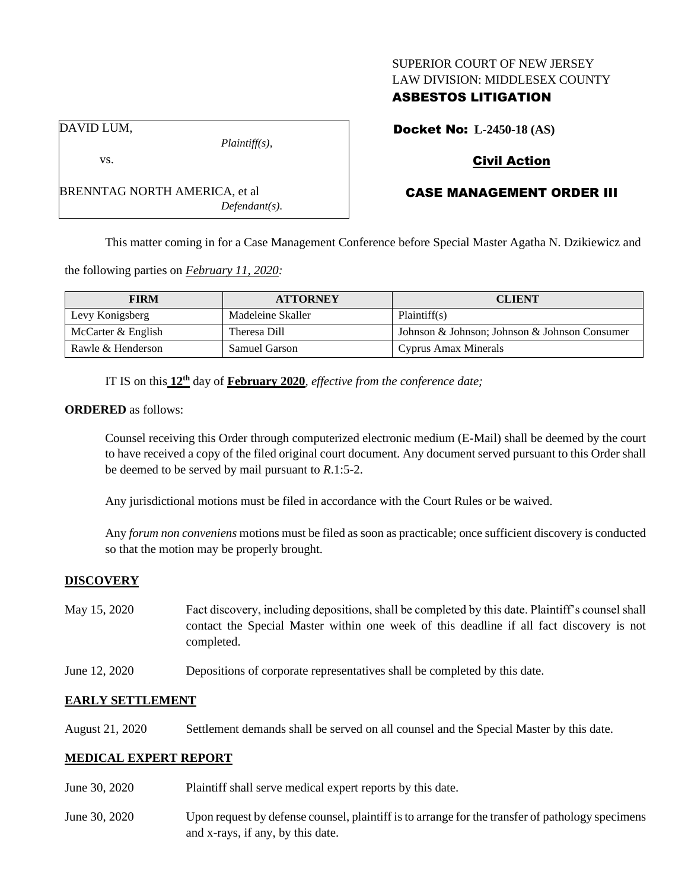### SUPERIOR COURT OF NEW JERSEY LAW DIVISION: MIDDLESEX COUNTY

## ASBESTOS LITIGATION

Docket No: **L-2450-18 (AS)**

# Civil Action

# CASE MANAGEMENT ORDER III

This matter coming in for a Case Management Conference before Special Master Agatha N. Dzikiewicz and

the following parties on *February 11, 2020:*

BRENNTAG NORTH AMERICA, et al

| <b>FIRM</b>        | <b>ATTORNEY</b>      | <b>CLIENT</b>                                 |
|--------------------|----------------------|-----------------------------------------------|
| Levy Konigsberg    | Madeleine Skaller    | Plaintiff(s)                                  |
| McCarter & English | Theresa Dill         | Johnson & Johnson; Johnson & Johnson Consumer |
| Rawle & Henderson  | <b>Samuel Garson</b> | Cyprus Amax Minerals                          |

IT IS on this **12th** day of **February 2020**, *effective from the conference date;*

*Plaintiff(s),*

*Defendant(s).*

### **ORDERED** as follows:

Counsel receiving this Order through computerized electronic medium (E-Mail) shall be deemed by the court to have received a copy of the filed original court document. Any document served pursuant to this Order shall be deemed to be served by mail pursuant to *R*.1:5-2.

Any jurisdictional motions must be filed in accordance with the Court Rules or be waived.

Any *forum non conveniens* motions must be filed as soon as practicable; once sufficient discovery is conducted so that the motion may be properly brought.

### **DISCOVERY**

| May 15, 2020 | Fact discovery, including depositions, shall be completed by this date. Plaintiff's counsel shall |
|--------------|---------------------------------------------------------------------------------------------------|
|              | contact the Special Master within one week of this deadline if all fact discovery is not          |
|              | completed.                                                                                        |

June 12, 2020 Depositions of corporate representatives shall be completed by this date.

### **EARLY SETTLEMENT**

August 21, 2020 Settlement demands shall be served on all counsel and the Special Master by this date.

## **MEDICAL EXPERT REPORT**

- June 30, 2020 Plaintiff shall serve medical expert reports by this date.
- June 30, 2020 Upon request by defense counsel, plaintiff is to arrange for the transfer of pathology specimens and x-rays, if any, by this date.

DAVID LUM,

vs.